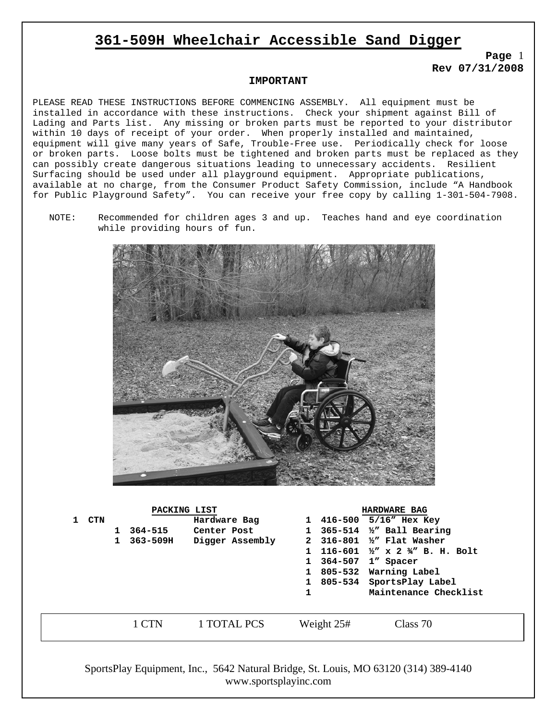## **361-509H Wheelchair Accessible Sand Digger**

**Page** 1 **Rev 07/31/2008** 

### **IMPORTANT**

PLEASE READ THESE INSTRUCTIONS BEFORE COMMENCING ASSEMBLY. All equipment must be installed in accordance with these instructions. Check your shipment against Bill of Lading and Parts list. Any missing or broken parts must be reported to your distributor within 10 days of receipt of your order. When properly installed and maintained, equipment will give many years of Safe, Trouble-Free use. Periodically check for loose or broken parts. Loose bolts must be tightened and broken parts must be replaced as they can possibly create dangerous situations leading to unnecessary accidents. Resilient Surfacing should be used under all playground equipment. Appropriate publications, available at no charge, from the Consumer Product Safety Commission, include "A Handbook for Public Playground Safety". You can receive your free copy by calling 1-301-504-7908.

NOTE: Recommended for children ages 3 and up. Teaches hand and eye coordination while providing hours of fun.



| PACKING LIST |       |   |              |                 | <b>HARDWARE BAG</b> |  |                                                    |  |
|--------------|-------|---|--------------|-----------------|---------------------|--|----------------------------------------------------|--|
|              | 1 CTN |   |              | Hardware Bag    |                     |  | 1 416-500 5/16" Hex Key                            |  |
|              |       |   | $364 - 515$  | Center Post     |                     |  | 1 $365 - 514$ 1/2" Ball Bearing                    |  |
|              |       | 1 | $363 - 509H$ | Digger Assembly |                     |  | 2 316-801 1/2" Flat Washer                         |  |
|              |       |   |              |                 |                     |  | 116-601 $\frac{1}{2}$ x 2 $\frac{3}{4}$ B. H. Bolt |  |
|              |       |   |              |                 |                     |  | 364-507 1" Spacer                                  |  |
|              |       |   |              |                 |                     |  | 805-532 Warning Label                              |  |
|              |       |   |              |                 |                     |  | 805-534 SportsPlay Label                           |  |
|              |       |   |              |                 | 1                   |  | Maintenance Checklist                              |  |
|              |       |   |              |                 |                     |  |                                                    |  |
|              |       |   | $1$ $CTN$    | 1 TOTAL PCS     | Weight 25#          |  | Class 70                                           |  |
|              |       |   |              |                 |                     |  |                                                    |  |

SportsPlay Equipment, Inc., 5642 Natural Bridge, St. Louis, MO 63120 (314) 389-4140 www.sportsplayinc.com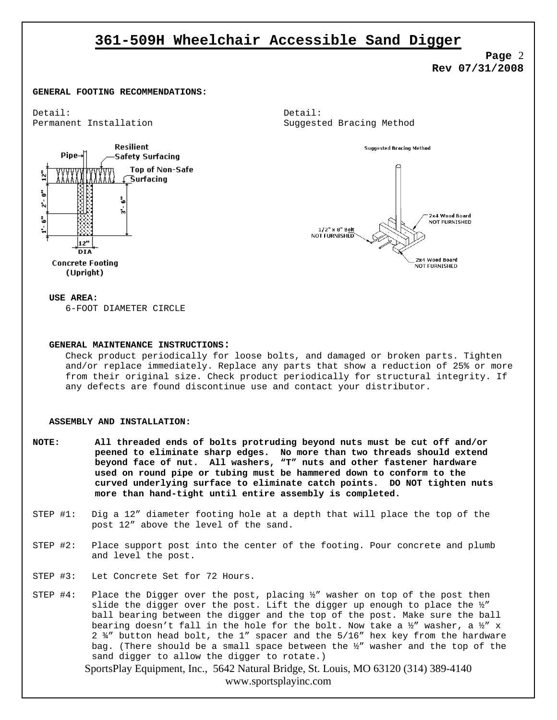## **361-509H Wheelchair Accessible Sand Digger**

**Page** 2 **Rev 07/31/2008** 

#### **GENERAL FOOTING RECOMMENDATIONS:**

Detail: Detail:



Permanent Installation and Suggested Bracing Method



#### **USE AREA:**

6-FOOT DIAMETER CIRCLE

#### **GENERAL MAINTENANCE INSTRUCTIONS:**

Check product periodically for loose bolts, and damaged or broken parts. Tighten and/or replace immediately. Replace any parts that show a reduction of 25% or more from their original size. Check product periodically for structural integrity. If any defects are found discontinue use and contact your distributor.

#### **ASSEMBLY AND INSTALLATION:**

- **NOTE: All threaded ends of bolts protruding beyond nuts must be cut off and/or peened to eliminate sharp edges. No more than two threads should extend beyond face of nut. All washers, "T" nuts and other fastener hardware used on round pipe or tubing must be hammered down to conform to the curved underlying surface to eliminate catch points. DO NOT tighten nuts more than hand-tight until entire assembly is completed.**
- STEP #1: Dig a 12" diameter footing hole at a depth that will place the top of the post 12" above the level of the sand.
- STEP #2: Place support post into the center of the footing. Pour concrete and plumb and level the post.
- STEP #3: Let Concrete Set for 72 Hours.
- STEP  $#4$ : Place the Digger over the post, placing  $\frac{1}{2}$ " washer on top of the post then slide the digger over the post. Lift the digger up enough to place the ½" ball bearing between the digger and the top of the post. Make sure the ball bearing doesn't fall in the hole for the bolt. Now take a  $\frac{1}{2}$ " washer, a  $\frac{1}{2}$ " x 2 ¾" button head bolt, the 1" spacer and the 5/16" hex key from the hardware bag. (There should be a small space between the ½" washer and the top of the sand digger to allow the digger to rotate.)

SportsPlay Equipment, Inc., 5642 Natural Bridge, St. Louis, MO 63120 (314) 389-4140 www.sportsplayinc.com